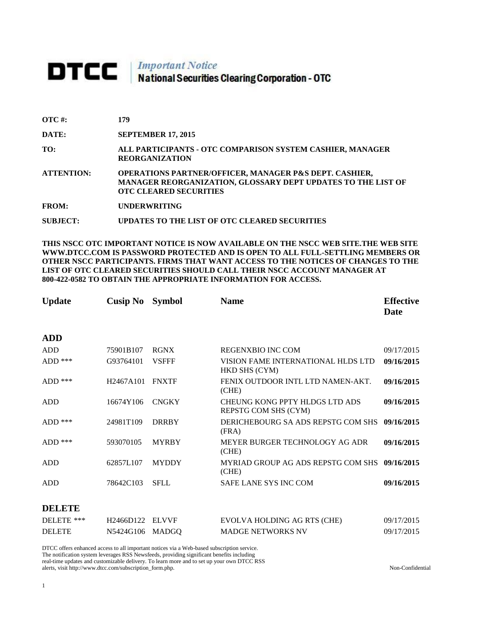## **DTCC** National Securities Clearing Corporation - OTC

| $\overline{OTC}$ #: | 179                                                                                                                                                     |
|---------------------|---------------------------------------------------------------------------------------------------------------------------------------------------------|
| DATE:               | <b>SEPTEMBER 17, 2015</b>                                                                                                                               |
| TO:                 | ALL PARTICIPANTS - OTC COMPARISON SYSTEM CASHIER, MANAGER<br><b>REORGANIZATION</b>                                                                      |
| <b>ATTENTION:</b>   | OPERATIONS PARTNER/OFFICER, MANAGER P&S DEPT. CASHIER,<br>MANAGER REORGANIZATION, GLOSSARY DEPT UPDATES TO THE LIST OF<br><b>OTC CLEARED SECURITIES</b> |
| <b>FROM:</b>        | <b>UNDERWRITING</b>                                                                                                                                     |
| <b>SUBJECT:</b>     | UPDATES TO THE LIST OF OTC CLEARED SECURITIES                                                                                                           |

**THIS NSCC OTC IMPORTANT NOTICE IS NOW AVAILABLE ON THE NSCC WEB SITE.THE WEB SITE WWW.DTCC.COM IS PASSWORD PROTECTED AND IS OPEN TO ALL FULL-SETTLING MEMBERS OR OTHER NSCC PARTICIPANTS. FIRMS THAT WANT ACCESS TO THE NOTICES OF CHANGES TO THE LIST OF OTC CLEARED SECURITIES SHOULD CALL THEIR NSCC ACCOUNT MANAGER AT 800-422-0582 TO OBTAIN THE APPROPRIATE INFORMATION FOR ACCESS.** 

| <b>Update</b>         | <b>Cusip No</b> | <b>Symbol</b> | <b>Name</b>                                            | <b>Effective</b><br>Date |
|-----------------------|-----------------|---------------|--------------------------------------------------------|--------------------------|
| <b>ADD</b>            |                 |               |                                                        |                          |
| <b>ADD</b>            | 75901B107       | <b>RGNX</b>   | REGENXBIO INC COM                                      | 09/17/2015               |
| $\mbox{\rm{ADD}}$ *** | G93764101       | <b>VSFFF</b>  | VISION FAME INTERNATIONAL HLDS LTD<br>HKD SHS (CYM)    | 09/16/2015               |
| $ADD$ ***             | H2467A101       | <b>FNXTF</b>  | FENIX OUTDOOR INTL LTD NAMEN-AKT.<br>(CHE)             | 09/16/2015               |
| <b>ADD</b>            | 16674Y106       | <b>CNGKY</b>  | CHEUNG KONG PPTY HLDGS LTD ADS<br>REPSTG COM SHS (CYM) | 09/16/2015               |
| $ADD$ ***             | 24981T109       | <b>DRRBY</b>  | DERICHEBOURG SA ADS REPSTG COM SHS<br>(FRA)            | 09/16/2015               |
| ADD ***               | 593070105       | <b>MYRBY</b>  | MEYER BURGER TECHNOLOGY AG ADR<br>(CHE)                | 09/16/2015               |
| <b>ADD</b>            | 62857L107       | <b>MYDDY</b>  | MYRIAD GROUP AG ADS REPSTG COM SHS<br>(CHE)            | 09/16/2015               |
| <b>ADD</b>            | 78642C103       | <b>SFLL</b>   | <b>SAFE LANE SYS INC COM</b>                           | 09/16/2015               |
| <b>DELETE</b>         |                 |               |                                                        |                          |
| DELETE ***            | H2466D122       | <b>ELVVF</b>  | EVOLVA HOLDING AG RTS (CHE)                            | 09/17/2015               |
| <b>DELETE</b>         | N5424G106       | <b>MADGO</b>  | <b>MADGE NETWORKS NV</b>                               | 09/17/2015               |

DTCC offers enhanced access to all important notices via a Web-based subscription service. The notification system leverages RSS Newsfeeds, providing significant benefits including real-time updates and customizable delivery. To learn more and to set up your own DTCC RSS alerts, visit http://www.dtcc.com/subscription\_form.php. Non-Confidential